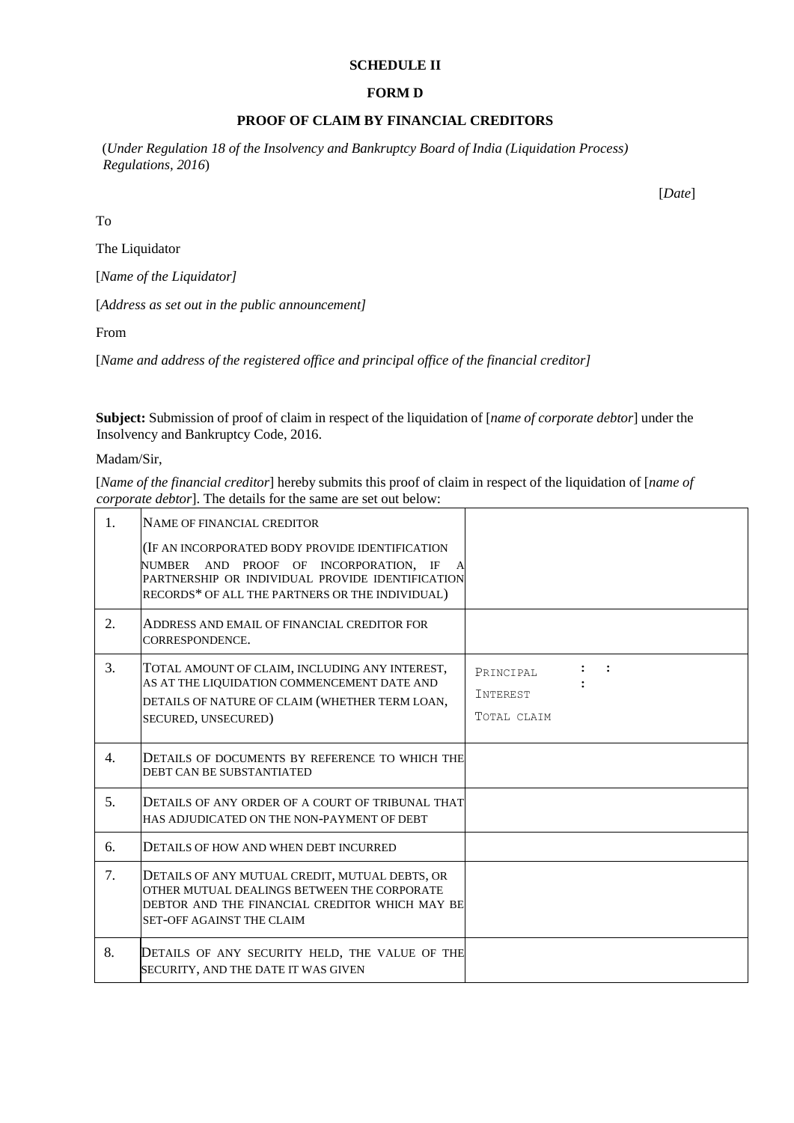### **SCHEDULE II**

#### **FORM D**

# **PROOF OF CLAIM BY FINANCIAL CREDITORS**

(*Under Regulation 18 of the Insolvency and Bankruptcy Board of India (Liquidation Process) Regulations, 2016*)

[*Date*]

To

The Liquidator

[*Name of the Liquidator]* 

[*Address as set out in the public announcement]* 

From

[*Name and address of the registered office and principal office of the financial creditor]* 

**Subject:** Submission of proof of claim in respect of the liquidation of [*name of corporate debtor*] under the Insolvency and Bankruptcy Code, 2016.

Madam/Sir,

[*Name of the financial creditor*] hereby submits this proof of claim in respect of the liquidation of [*name of corporate debtor*]. The details for the same are set out below:

| 1. | NAME OF FINANCIAL CREDITOR                                                                                                                                                                           |                                                                          |
|----|------------------------------------------------------------------------------------------------------------------------------------------------------------------------------------------------------|--------------------------------------------------------------------------|
|    | (IF AN INCORPORATED BODY PROVIDE IDENTIFICATION<br>NUMBER AND PROOF OF INCORPORATION, IF<br>A<br>PARTNERSHIP OR INDIVIDUAL PROVIDE IDENTIFICATION<br>RECORDS* OF ALL THE PARTNERS OR THE INDIVIDUAL) |                                                                          |
| 2. | ADDRESS AND EMAIL OF FINANCIAL CREDITOR FOR<br>CORRESPONDENCE.                                                                                                                                       |                                                                          |
| 3. | TOTAL AMOUNT OF CLAIM, INCLUDING ANY INTEREST,<br>AS AT THE LIQUIDATION COMMENCEMENT DATE AND<br>DETAILS OF NATURE OF CLAIM (WHETHER TERM LOAN,<br>SECURED, UNSECURED)                               | $\mathbf{1}$ $\mathbf{1}$<br>PRINCIPAL<br><b>INTEREST</b><br>TOTAL CLAIM |
| 4. | DETAILS OF DOCUMENTS BY REFERENCE TO WHICH THE<br><b>DEBT CAN BE SUBSTANTIATED</b>                                                                                                                   |                                                                          |
| 5. | DETAILS OF ANY ORDER OF A COURT OF TRIBUNAL THAT<br>HAS ADJUDICATED ON THE NON-PAYMENT OF DEBT                                                                                                       |                                                                          |
| 6. | DETAILS OF HOW AND WHEN DEBT INCURRED                                                                                                                                                                |                                                                          |
| 7. | DETAILS OF ANY MUTUAL CREDIT, MUTUAL DEBTS, OR<br>OTHER MUTUAL DEALINGS BETWEEN THE CORPORATE<br>DEBTOR AND THE FINANCIAL CREDITOR WHICH MAY BE<br><b>SET-OFF AGAINST THE CLAIM</b>                  |                                                                          |
| 8. | DETAILS OF ANY SECURITY HELD, THE VALUE OF THE<br>SECURITY, AND THE DATE IT WAS GIVEN                                                                                                                |                                                                          |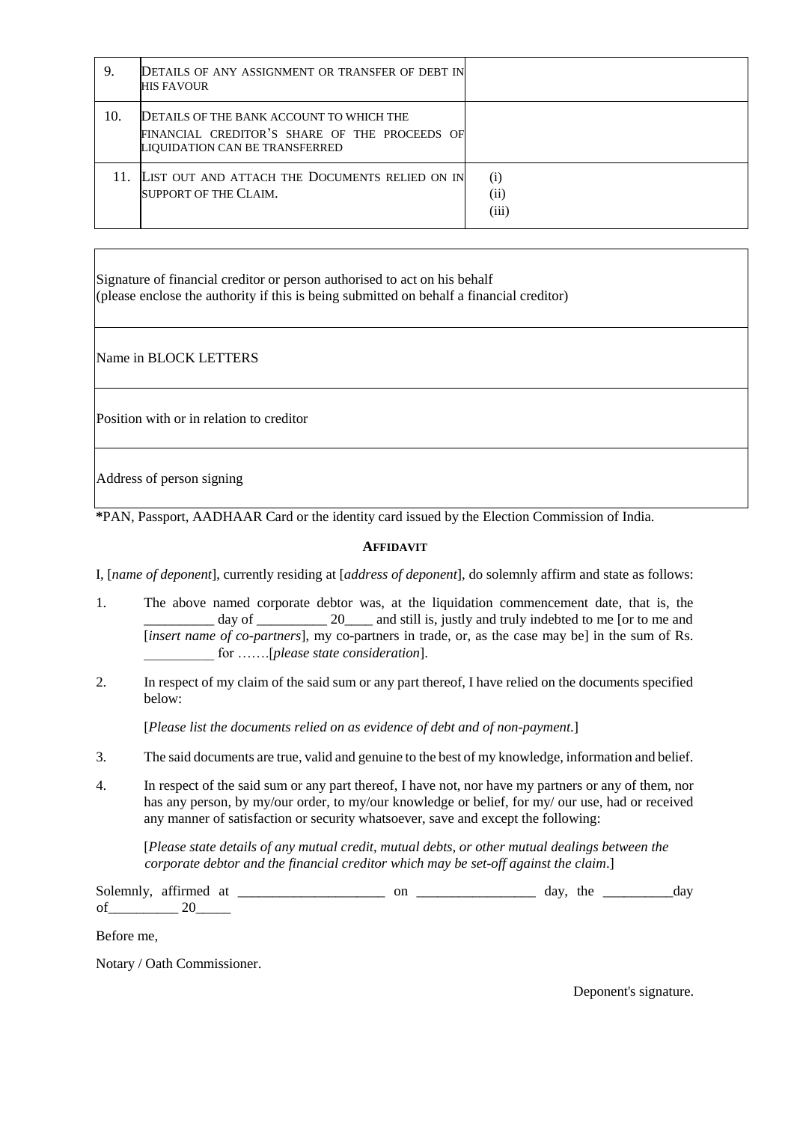| 9.  | DETAILS OF ANY ASSIGNMENT OR TRANSFER OF DEBT IN<br>HIS FAVOUR                                                              |                      |
|-----|-----------------------------------------------------------------------------------------------------------------------------|----------------------|
| 10. | DETAILS OF THE BANK ACCOUNT TO WHICH THE<br>FINANCIAL CREDITOR'S SHARE OF THE PROCEEDS OF<br>LIQUIDATION CAN BE TRANSFERRED |                      |
|     | 11. LIST OUT AND ATTACH THE DOCUMENTS RELIED ON IN<br>SUPPORT OF THE CLAIM.                                                 | (i)<br>(ii)<br>(iii) |

Signature of financial creditor or person authorised to act on his behalf (please enclose the authority if this is being submitted on behalf a financial creditor)

Name in BLOCK LETTERS

Position with or in relation to creditor

Address of person signing

**\***PAN, Passport, AADHAAR Card or the identity card issued by the Election Commission of India.

## **AFFIDAVIT**

I, [*name of deponent*], currently residing at [*address of deponent*], do solemnly affirm and state as follows:

- 1. The above named corporate debtor was, at the liquidation commencement date, that is, the day of \_\_\_\_\_\_\_\_\_ 20\_\_\_\_ and still is, justly and truly indebted to me [or to me and [*insert name of co-partners*], my co-partners in trade, or, as the case may be] in the sum of Rs. \_\_\_\_\_\_\_\_\_\_ for …….[*please state consideration*].
- 2. In respect of my claim of the said sum or any part thereof, I have relied on the documents specified below:

[*Please list the documents relied on as evidence of debt and of non-payment*.]

- 3. The said documents are true, valid and genuine to the best of my knowledge, information and belief.
- 4. In respect of the said sum or any part thereof, I have not, nor have my partners or any of them, nor has any person, by my/our order, to my/our knowledge or belief, for my/ our use, had or received any manner of satisfaction or security whatsoever, save and except the following:

[*Please state details of any mutual credit, mutual debts, or other mutual dealings between the corporate debtor and the financial creditor which may be set-off against the claim*.]

Solemnly, affirmed at \_\_\_\_\_\_\_\_\_\_\_\_\_\_\_\_\_\_\_\_\_ on \_\_\_\_\_\_\_\_\_\_\_\_\_\_\_\_\_ day, the \_\_\_\_\_\_\_\_\_\_day of 20

Before me,

Notary / Oath Commissioner.

Deponent's signature.